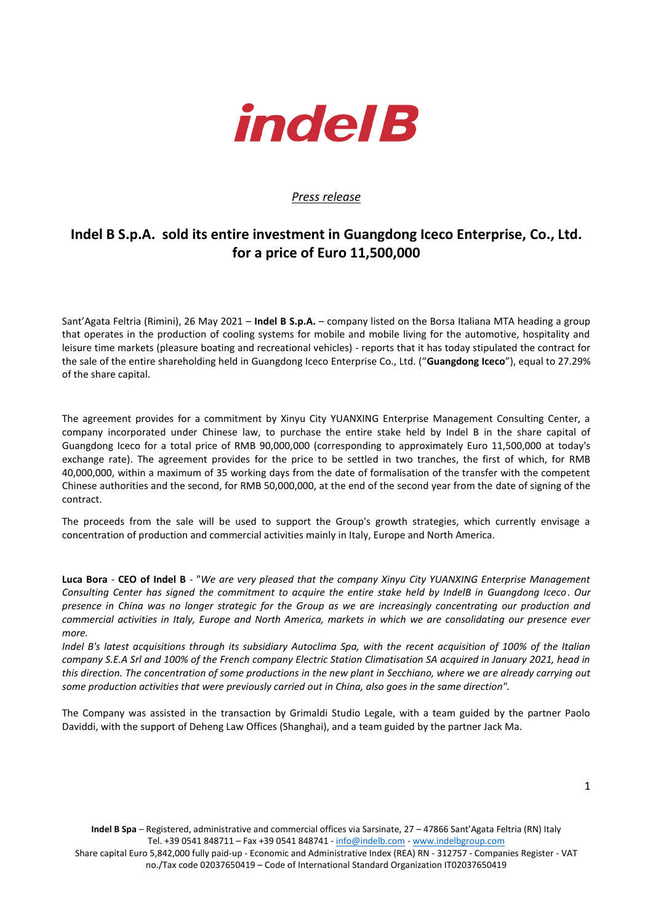

## *Press release*

## **Indel B S.p.A. sold its entire investment in Guangdong Iceco Enterprise, Co., Ltd. for a price of Euro 11,500,000**

Sant'Agata Feltria (Rimini), 26 May 2021 – **Indel B S.p.A.** – company listed on the Borsa Italiana MTA heading a group that operates in the production of cooling systems for mobile and mobile living for the automotive, hospitality and leisure time markets (pleasure boating and recreational vehicles) - reports that it has today stipulated the contract for the sale of the entire shareholding held in Guangdong Iceco Enterprise Co., Ltd. ("**Guangdong Iceco**"), equal to 27.29% of the share capital.

The agreement provides for a commitment by Xinyu City YUANXING Enterprise Management Consulting Center, a company incorporated under Chinese law, to purchase the entire stake held by Indel B in the share capital of Guangdong Iceco for a total price of RMB 90,000,000 (corresponding to approximately Euro 11,500,000 at today's exchange rate). The agreement provides for the price to be settled in two tranches, the first of which, for RMB 40,000,000, within a maximum of 35 working days from the date of formalisation of the transfer with the competent Chinese authorities and the second, for RMB 50,000,000, at the end of the second year from the date of signing of the contract.

The proceeds from the sale will be used to support the Group's growth strategies, which currently envisage a concentration of production and commercial activities mainly in Italy, Europe and North America.

**Luca Bora** - **CEO of Indel B** - "*We are very pleased that the company Xinyu City YUANXING Enterprise Management Consulting Center has signed the commitment to acquire the entire stake held by IndelB in Guangdong Iceco*. *Our presence in China was no longer strategic for the Group as we are increasingly concentrating our production and commercial activities in Italy, Europe and North America, markets in which we are consolidating our presence ever more.*

*Indel B's latest acquisitions through its subsidiary Autoclima Spa, with the recent acquisition of 100% of the Italian company S.E.A Srl and 100% of the French company Electric Station Climatisation SA acquired in January 2021, head in this direction. The concentration of some productions in the new plant in Secchiano, where we are already carrying out some production activities that were previously carried out in China, also goes in the same direction".*

The Company was assisted in the transaction by Grimaldi Studio Legale, with a team guided by the partner Paolo Daviddi, with the support of Deheng Law Offices (Shanghai), and a team guided by the partner Jack Ma.

**Indel B Spa** – Registered, administrative and commercial offices via Sarsinate, 27 – 47866 Sant'Agata Feltria (RN) Italy Tel. +39 0541 848711 – Fax +39 0541 848741 - [info@indelb.com](mailto:info@indelb.com) - [www.indelbgroup.com](http://www.indelbgroup.com/) Share capital Euro 5,842,000 fully paid-up - Economic and Administrative Index (REA) RN - 312757 - Companies Register - VAT no./Tax code 02037650419 – Code of International Standard Organization IT02037650419